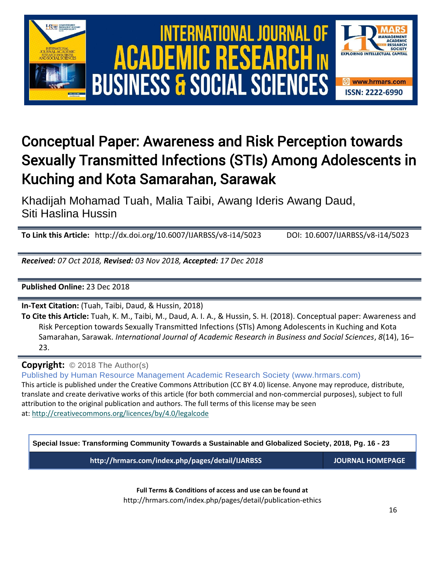

# Conceptual Paper: Awareness and Risk Perception towards Sexually Transmitted Infections (STIs) Among Adolescents in Kuching and Kota Samarahan, Sarawak

Khadijah Mohamad Tuah, Malia Taibi, Awang Ideris Awang Daud, Siti Haslina Hussin

**To Link this Article:** http://dx.doi.org/10.6007/IJARBSS/v8-i14/5023 DOI: 10.6007/IJARBSS/v8-i14/5023

*Received: 07 Oct 2018, Revised: 03 Nov 2018, Accepted: 17 Dec 2018*

**Published Online:** 23 Dec 2018

**In-Text Citation:** (Tuah, Taibi, Daud, & Hussin, 2018)

**To Cite this Article:** Tuah, K. M., Taibi, M., Daud, A. I. A., & Hussin, S. H. (2018). Conceptual paper: Awareness and Risk Perception towards Sexually Transmitted Infections (STIs) Among Adolescents in Kuching and Kota Samarahan, Sarawak. *International Journal of Academic Research in Business and Social Sciences*, *8*(14), 16– 23.

**Copyright:** © 2018 The Author(s)

Published by Human Resource Management Academic Research Society (www.hrmars.com) This article is published under the Creative Commons Attribution (CC BY 4.0) license. Anyone may reproduce, distribute, translate and create derivative works of this article (for both commercial and non-commercial purposes), subject to full attribution to the original publication and authors. The full terms of this license may be seen at: <http://creativecommons.org/licences/by/4.0/legalcode>

**Special Issue: Transforming Community Towards a Sustainable and Globalized Society, 2018, Pg. 16 - 23 http://hrmars.com/index.php/pages/detail/IJARBSS JOURNAL HOMEPAGE**

**Full Terms & Conditions of access and use can be found at** http://hrmars.com/index.php/pages/detail/publication-ethics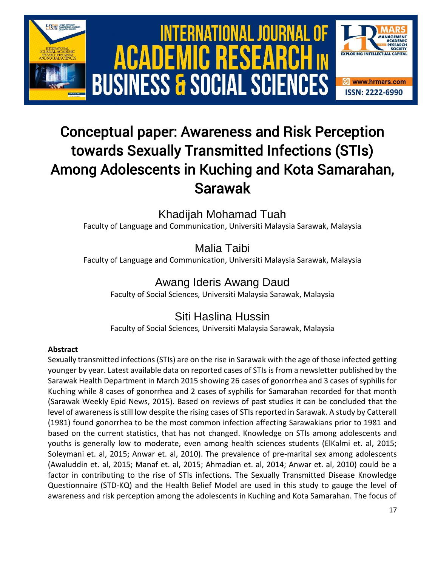

# Conceptual paper: Awareness and Risk Perception towards Sexually Transmitted Infections (STIs) Among Adolescents in Kuching and Kota Samarahan, Sarawak

Khadijah Mohamad Tuah

Faculty of Language and Communication, Universiti Malaysia Sarawak, Malaysia

Malia Taibi

Faculty of Language and Communication, Universiti Malaysia Sarawak, Malaysia

Awang Ideris Awang Daud

Faculty of Social Sciences, Universiti Malaysia Sarawak, Malaysia

## Siti Haslina Hussin

Faculty of Social Sciences, Universiti Malaysia Sarawak, Malaysia

### **Abstract**

Sexually transmitted infections (STIs) are on the rise in Sarawak with the age of those infected getting younger by year. Latest available data on reported cases of STIs is from a newsletter published by the Sarawak Health Department in March 2015 showing 26 cases of gonorrhea and 3 cases of syphilis for Kuching while 8 cases of gonorrhea and 2 cases of syphilis for Samarahan recorded for that month (Sarawak Weekly Epid News, 2015). Based on reviews of past studies it can be concluded that the level of awareness is still low despite the rising cases of STIs reported in Sarawak. A study by Catterall (1981) found gonorrhea to be the most common infection affecting Sarawakians prior to 1981 and based on the current statistics, that has not changed. Knowledge on STIs among adolescents and youths is generally low to moderate, even among health sciences students (ElKalmi et. al, 2015; Soleymani et. al, 2015; Anwar et. al, 2010). The prevalence of pre-marital sex among adolescents (Awaluddin et. al, 2015; Manaf et. al, 2015; Ahmadian et. al, 2014; Anwar et. al, 2010) could be a factor in contributing to the rise of STIs infections. The Sexually Transmitted Disease Knowledge Questionnaire (STD-KQ) and the Health Belief Model are used in this study to gauge the level of awareness and risk perception among the adolescents in Kuching and Kota Samarahan. The focus of